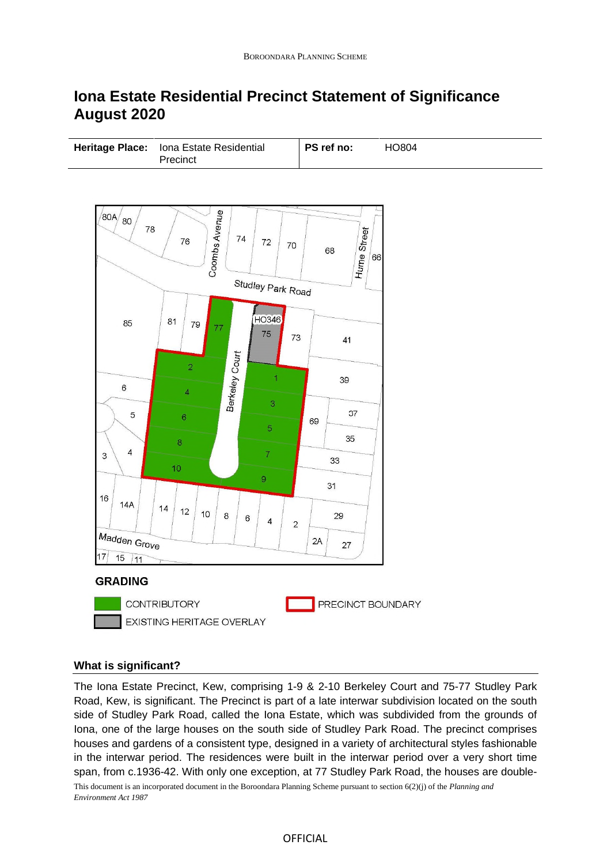# **Iona Estate Residential Precinct Statement of Significance August 2020**

| Heritage Place: Iona Estate Residential<br>Precinct | PS ref no:<br>HO804 |  |
|-----------------------------------------------------|---------------------|--|
|-----------------------------------------------------|---------------------|--|



### **What is significant?**

This document is an incorporated document in the Boroondara Planning Scheme pursuant to section 6(2)(j) of the *Planning and Environment Act 1987* The Iona Estate Precinct, Kew, comprising 1-9 & 2-10 Berkeley Court and 75-77 Studley Park Road, Kew, is significant. The Precinct is part of a late interwar subdivision located on the south side of Studley Park Road, called the Iona Estate, which was subdivided from the grounds of Iona, one of the large houses on the south side of Studley Park Road. The precinct comprises houses and gardens of a consistent type, designed in a variety of architectural styles fashionable in the interwar period. The residences were built in the interwar period over a very short time span, from c.1936-42. With only one exception, at 77 Studley Park Road, the houses are double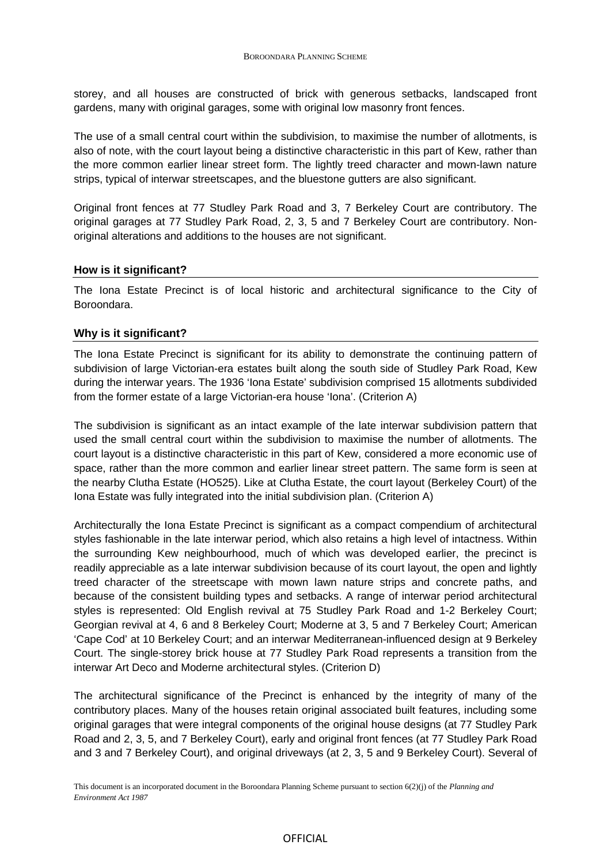storey, and all houses are constructed of brick with generous setbacks, landscaped front gardens, many with original garages, some with original low masonry front fences.

The use of a small central court within the subdivision, to maximise the number of allotments, is also of note, with the court layout being a distinctive characteristic in this part of Kew, rather than the more common earlier linear street form. The lightly treed character and mown-lawn nature strips, typical of interwar streetscapes, and the bluestone gutters are also significant.

Original front fences at 77 Studley Park Road and 3, 7 Berkeley Court are contributory. The original garages at 77 Studley Park Road, 2, 3, 5 and 7 Berkeley Court are contributory. Nonoriginal alterations and additions to the houses are not significant.

## **How is it significant?**

The Iona Estate Precinct is of local historic and architectural significance to the City of Boroondara.

### **Why is it significant?**

The Iona Estate Precinct is significant for its ability to demonstrate the continuing pattern of subdivision of large Victorian-era estates built along the south side of Studley Park Road, Kew during the interwar years. The 1936 'Iona Estate' subdivision comprised 15 allotments subdivided from the former estate of a large Victorian-era house 'Iona'. (Criterion A)

The subdivision is significant as an intact example of the late interwar subdivision pattern that used the small central court within the subdivision to maximise the number of allotments. The court layout is a distinctive characteristic in this part of Kew, considered a more economic use of space, rather than the more common and earlier linear street pattern. The same form is seen at the nearby Clutha Estate (HO525). Like at Clutha Estate, the court layout (Berkeley Court) of the Iona Estate was fully integrated into the initial subdivision plan. (Criterion A)

Architecturally the Iona Estate Precinct is significant as a compact compendium of architectural styles fashionable in the late interwar period, which also retains a high level of intactness. Within the surrounding Kew neighbourhood, much of which was developed earlier, the precinct is readily appreciable as a late interwar subdivision because of its court layout, the open and lightly treed character of the streetscape with mown lawn nature strips and concrete paths, and because of the consistent building types and setbacks. A range of interwar period architectural styles is represented: Old English revival at 75 Studley Park Road and 1-2 Berkeley Court; Georgian revival at 4, 6 and 8 Berkeley Court; Moderne at 3, 5 and 7 Berkeley Court; American 'Cape Cod' at 10 Berkeley Court; and an interwar Mediterranean-influenced design at 9 Berkeley Court. The single-storey brick house at 77 Studley Park Road represents a transition from the interwar Art Deco and Moderne architectural styles. (Criterion D)

The architectural significance of the Precinct is enhanced by the integrity of many of the contributory places. Many of the houses retain original associated built features, including some original garages that were integral components of the original house designs (at 77 Studley Park Road and 2, 3, 5, and 7 Berkeley Court), early and original front fences (at 77 Studley Park Road and 3 and 7 Berkeley Court), and original driveways (at 2, 3, 5 and 9 Berkeley Court). Several of

### OFFICIAL